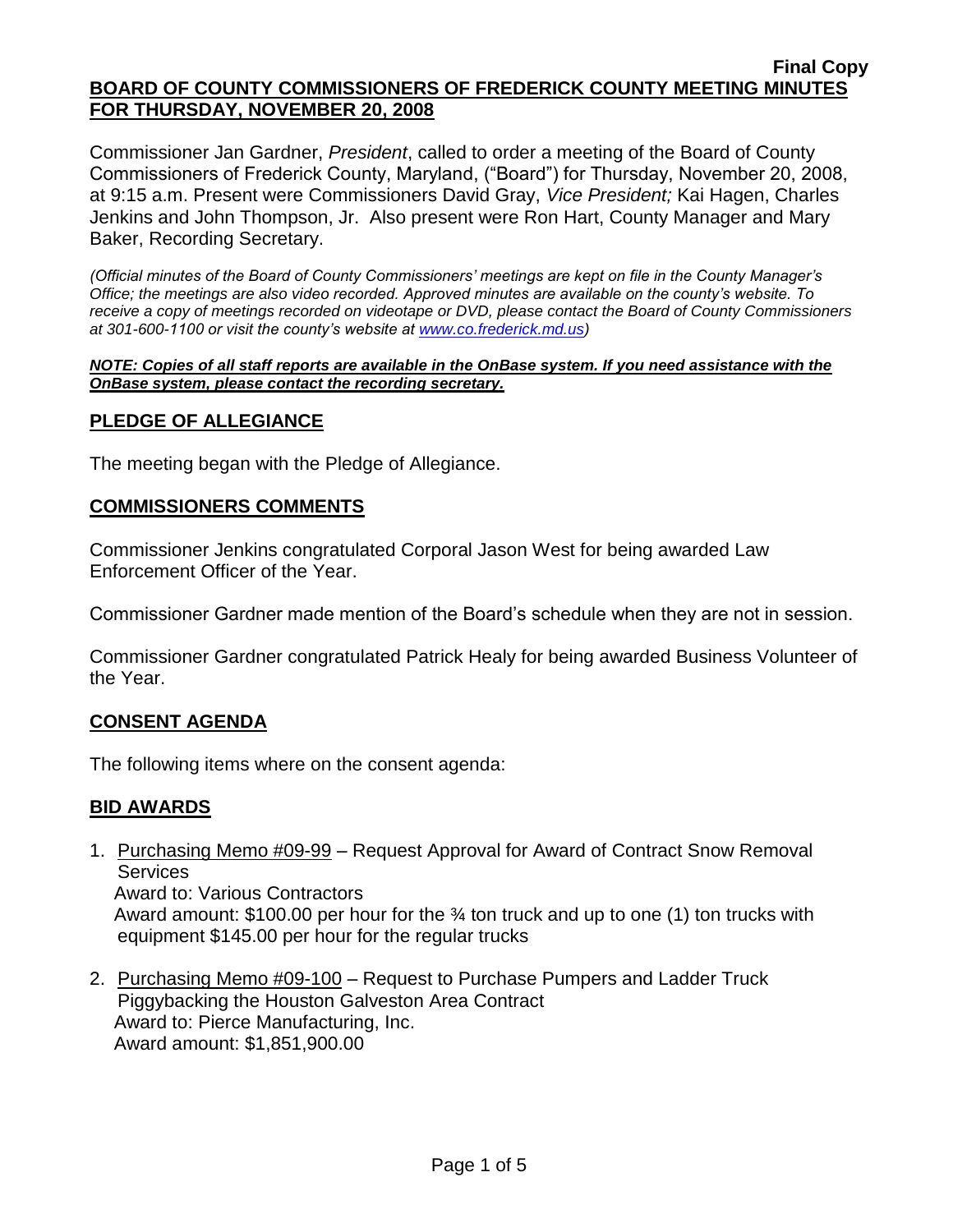Commissioner Jan Gardner, *President*, called to order a meeting of the Board of County Commissioners of Frederick County, Maryland, ("Board") for Thursday, November 20, 2008, at 9:15 a.m. Present were Commissioners David Gray, *Vice President;* Kai Hagen, Charles Jenkins and John Thompson, Jr. Also present were Ron Hart, County Manager and Mary Baker, Recording Secretary.

*(Official minutes of the Board of County Commissioners' meetings are kept on file in the County Manager's Office; the meetings are also video recorded. Approved minutes are available on the county's website. To receive a copy of meetings recorded on videotape or DVD, please contact the Board of County Commissioners at 301-600-1100 or visit the county's website at [www.co.frederick.md.us\)](http://www.co.frederick.md.us/)*

#### *NOTE: Copies of all staff reports are available in the OnBase system. If you need assistance with the OnBase system, please contact the recording secretary.*

## **PLEDGE OF ALLEGIANCE**

The meeting began with the Pledge of Allegiance.

## **COMMISSIONERS COMMENTS**

Commissioner Jenkins congratulated Corporal Jason West for being awarded Law Enforcement Officer of the Year.

Commissioner Gardner made mention of the Board's schedule when they are not in session.

Commissioner Gardner congratulated Patrick Healy for being awarded Business Volunteer of the Year.

## **CONSENT AGENDA**

The following items where on the consent agenda:

## **BID AWARDS**

1. Purchasing Memo #09-99 – Request Approval for Award of Contract Snow Removal **Services** Award to: Various Contractors

 Award amount: \$100.00 per hour for the ¾ ton truck and up to one (1) ton trucks with equipment \$145.00 per hour for the regular trucks

2. Purchasing Memo #09-100 – Request to Purchase Pumpers and Ladder Truck Piggybacking the Houston Galveston Area Contract Award to: Pierce Manufacturing, Inc. Award amount: \$1,851,900.00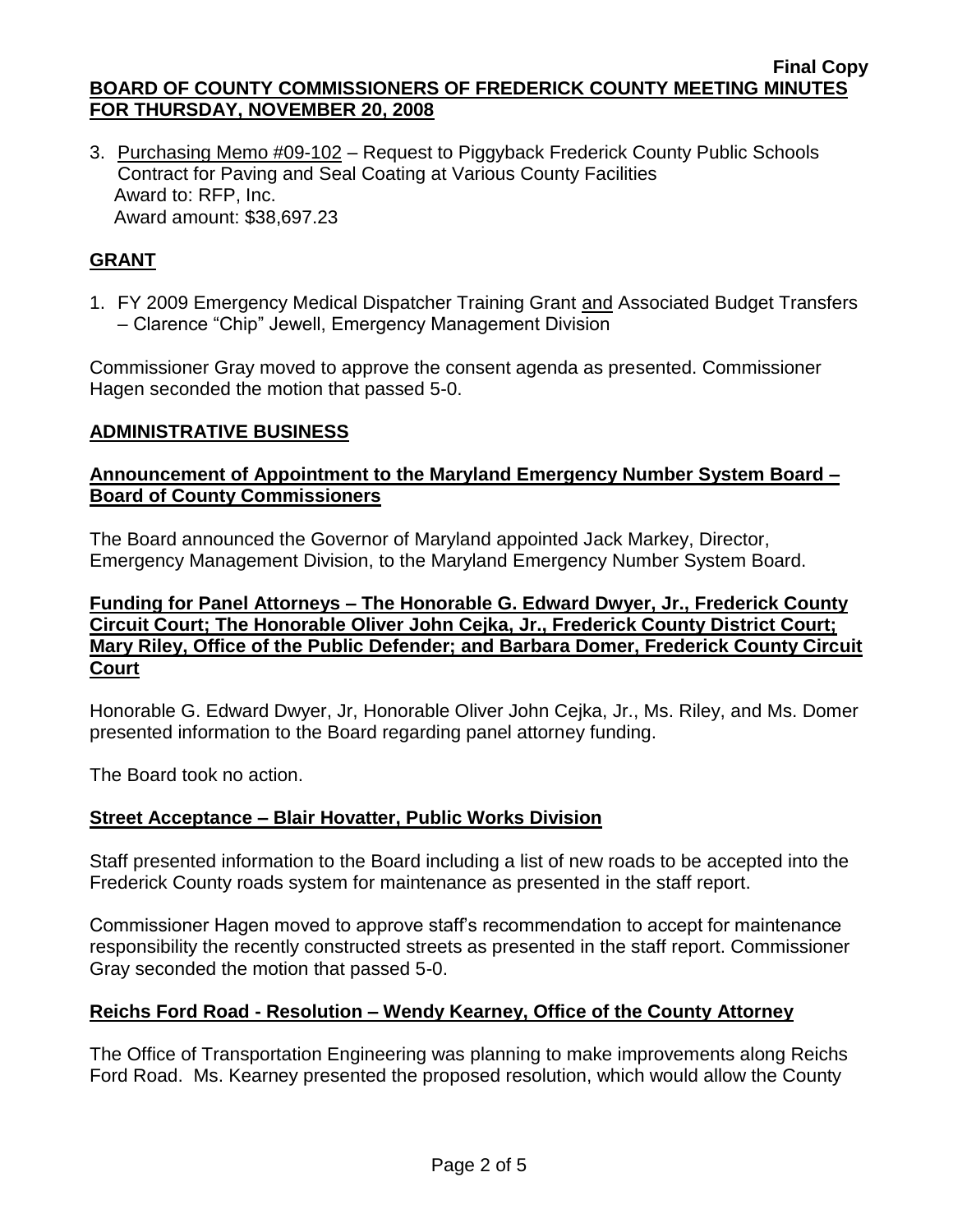3. Purchasing Memo #09-102 – Request to Piggyback Frederick County Public Schools Contract for Paving and Seal Coating at Various County Facilities Award to: RFP, Inc. Award amount: \$38,697.23

# **GRANT**

1. FY 2009 Emergency Medical Dispatcher Training Grant and Associated Budget Transfers – Clarence "Chip" Jewell, Emergency Management Division

Commissioner Gray moved to approve the consent agenda as presented. Commissioner Hagen seconded the motion that passed 5-0.

## **ADMINISTRATIVE BUSINESS**

# **Announcement of Appointment to the Maryland Emergency Number System Board – Board of County Commissioners**

The Board announced the Governor of Maryland appointed Jack Markey, Director, Emergency Management Division, to the Maryland Emergency Number System Board.

## **Funding for Panel Attorneys – The Honorable G. Edward Dwyer, Jr., Frederick County Circuit Court; The Honorable Oliver John Cejka, Jr., Frederick County District Court; Mary Riley, Office of the Public Defender; and Barbara Domer, Frederick County Circuit Court**

Honorable G. Edward Dwyer, Jr, Honorable Oliver John Cejka, Jr., Ms. Riley, and Ms. Domer presented information to the Board regarding panel attorney funding.

The Board took no action.

# **Street Acceptance – Blair Hovatter, Public Works Division**

Staff presented information to the Board including a list of new roads to be accepted into the Frederick County roads system for maintenance as presented in the staff report.

Commissioner Hagen moved to approve staff's recommendation to accept for maintenance responsibility the recently constructed streets as presented in the staff report. Commissioner Gray seconded the motion that passed 5-0.

## **Reichs Ford Road - Resolution – Wendy Kearney, Office of the County Attorney**

The Office of Transportation Engineering was planning to make improvements along Reichs Ford Road. Ms. Kearney presented the proposed resolution, which would allow the County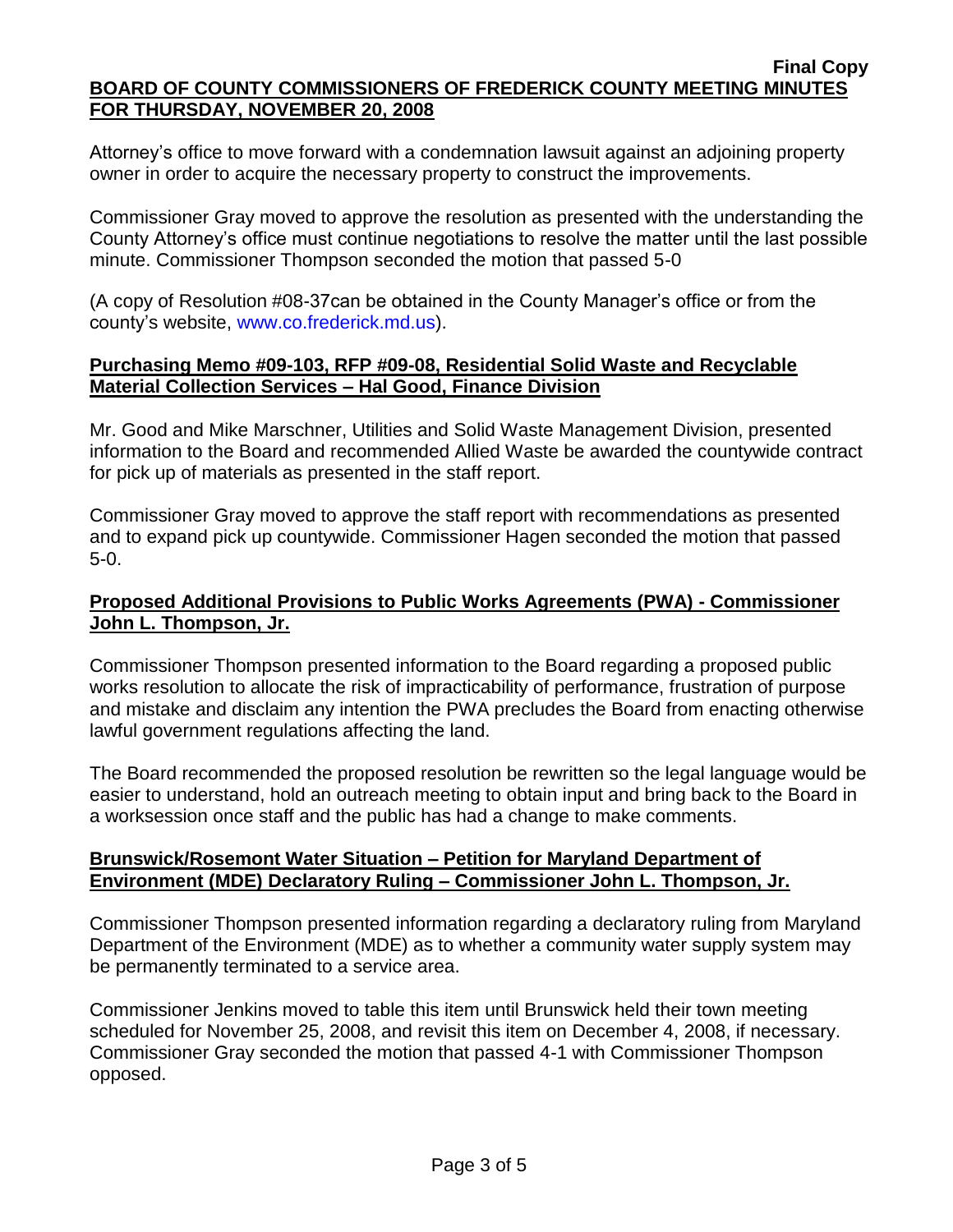Attorney's office to move forward with a condemnation lawsuit against an adjoining property owner in order to acquire the necessary property to construct the improvements.

Commissioner Gray moved to approve the resolution as presented with the understanding the County Attorney's office must continue negotiations to resolve the matter until the last possible minute. Commissioner Thompson seconded the motion that passed 5-0

(A copy of Resolution #08-37can be obtained in the County Manager's office or from the county's website, [www.co.frederick.md.us\)](www.co.frederick.md.us).

### **Purchasing Memo #09-103, RFP #09-08, Residential Solid Waste and Recyclable Material Collection Services – Hal Good, Finance Division**

Mr. Good and Mike Marschner, Utilities and Solid Waste Management Division, presented information to the Board and recommended Allied Waste be awarded the countywide contract for pick up of materials as presented in the staff report.

Commissioner Gray moved to approve the staff report with recommendations as presented and to expand pick up countywide. Commissioner Hagen seconded the motion that passed 5-0.

## **Proposed Additional Provisions to Public Works Agreements (PWA) - Commissioner John L. Thompson, Jr.**

Commissioner Thompson presented information to the Board regarding a proposed public works resolution to allocate the risk of impracticability of performance, frustration of purpose and mistake and disclaim any intention the PWA precludes the Board from enacting otherwise lawful government regulations affecting the land.

The Board recommended the proposed resolution be rewritten so the legal language would be easier to understand, hold an outreach meeting to obtain input and bring back to the Board in a worksession once staff and the public has had a change to make comments.

## **Brunswick/Rosemont Water Situation – Petition for Maryland Department of Environment (MDE) Declaratory Ruling – Commissioner John L. Thompson, Jr.**

Commissioner Thompson presented information regarding a declaratory ruling from Maryland Department of the Environment (MDE) as to whether a community water supply system may be permanently terminated to a service area.

Commissioner Jenkins moved to table this item until Brunswick held their town meeting scheduled for November 25, 2008, and revisit this item on December 4, 2008, if necessary. Commissioner Gray seconded the motion that passed 4-1 with Commissioner Thompson opposed.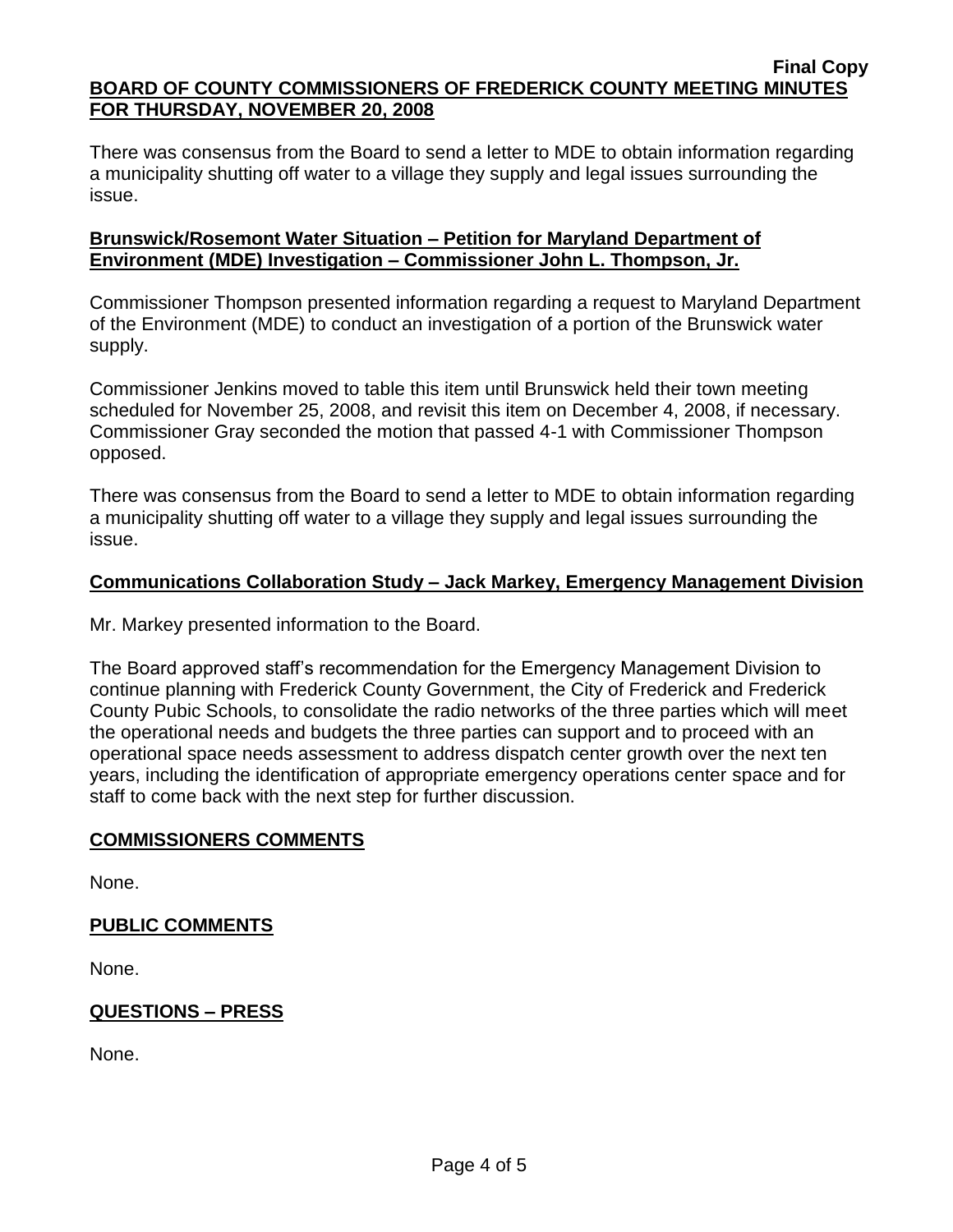There was consensus from the Board to send a letter to MDE to obtain information regarding a municipality shutting off water to a village they supply and legal issues surrounding the issue.

## **Brunswick/Rosemont Water Situation – Petition for Maryland Department of Environment (MDE) Investigation – Commissioner John L. Thompson, Jr.**

Commissioner Thompson presented information regarding a request to Maryland Department of the Environment (MDE) to conduct an investigation of a portion of the Brunswick water supply.

Commissioner Jenkins moved to table this item until Brunswick held their town meeting scheduled for November 25, 2008, and revisit this item on December 4, 2008, if necessary. Commissioner Gray seconded the motion that passed 4-1 with Commissioner Thompson opposed.

There was consensus from the Board to send a letter to MDE to obtain information regarding a municipality shutting off water to a village they supply and legal issues surrounding the issue.

## **Communications Collaboration Study – Jack Markey, Emergency Management Division**

Mr. Markey presented information to the Board.

The Board approved staff's recommendation for the Emergency Management Division to continue planning with Frederick County Government, the City of Frederick and Frederick County Pubic Schools, to consolidate the radio networks of the three parties which will meet the operational needs and budgets the three parties can support and to proceed with an operational space needs assessment to address dispatch center growth over the next ten years, including the identification of appropriate emergency operations center space and for staff to come back with the next step for further discussion.

## **COMMISSIONERS COMMENTS**

None.

## **PUBLIC COMMENTS**

None.

# **QUESTIONS – PRESS**

None.